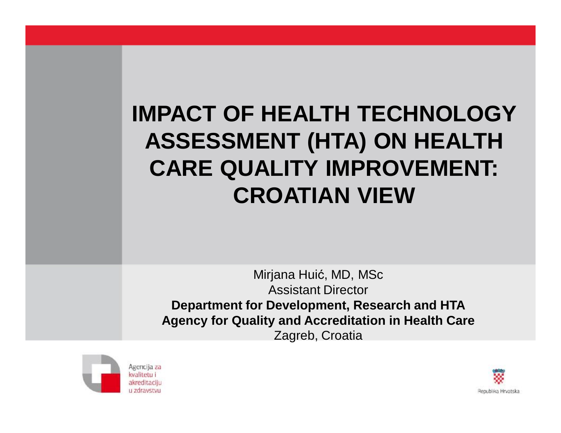# **IMPACT OF HEALTH TECHNOLOGY ASSESSMENT (HTA) ON HEALTH CARE QUALITY IMPROVEMENT: CROATIAN VIEW**

Mirjana Huić, MD, MSc Assistant Director **Department for Development, Research and HTA Agency for Quality and Accreditation in Health Care** Zagreb, Croatia



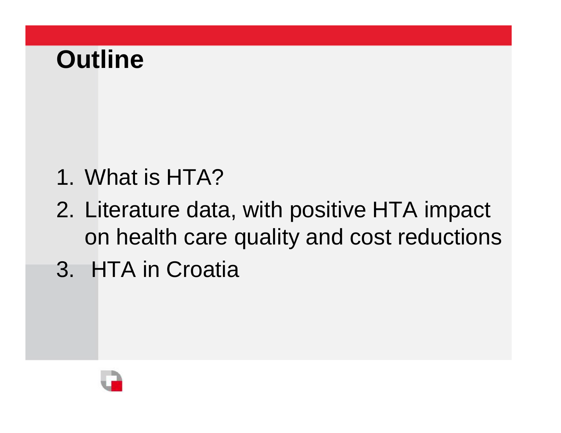# **Outline**

- 1. What is HTA?
- 2. Literature data, with positive HTA impact on health care quality and cost reductions
- 3. HTA in Croatia

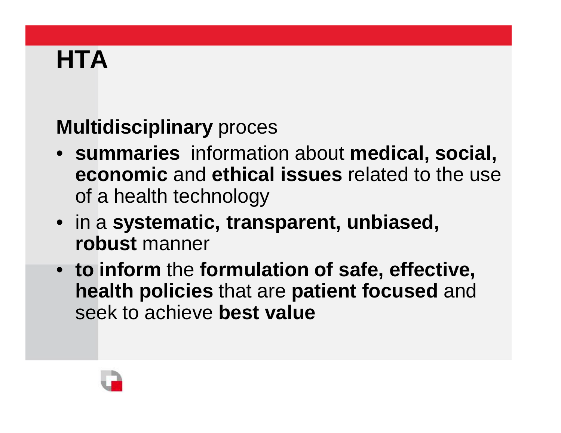# **HTA**

# **Multidisciplinary** proces

- **summaries** information about **medical, social, economic** and **ethical issues** related to the use of a health technology
- in a **systematic, transparent, unbiased, robust** manner
- **to inform** the **formulation of safe, effective, health policies** that are **patient focused** and seek to achieve **best value**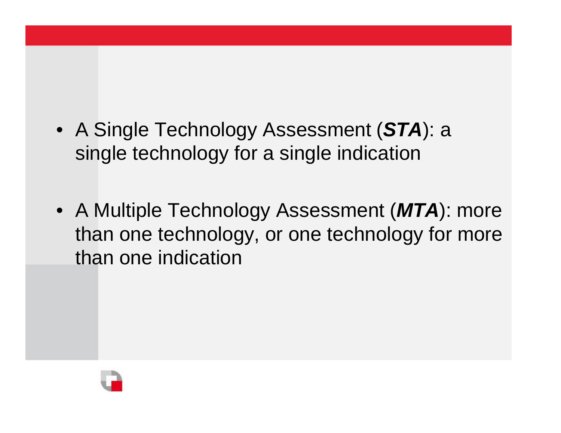- A Single Technology Assessment (*STA*): a single technology for a single indication
- A Multiple Technology Assessment (*MTA*): more than one technology, or one technology for more than one indication

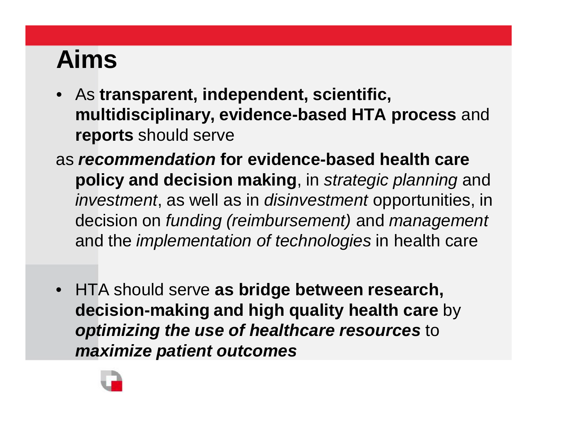# **Aims**

- As **transparent, independent, scientific, multidisciplinary, evidence-based HTA process** and **reports** should serve
- as *recommendation* **for evidence-based health care policy and decision making**, in *strategic planning* and *investment*, as well as in *disinvestment* opportunities, in decision on *funding (reimbursement)* and *management* and the *implementation of technologies* in health care
- HTA should serve **as bridge between research, decision-making and high quality health care** by *optimizing the use of healthcare resources* to *maximize patient outcomes*

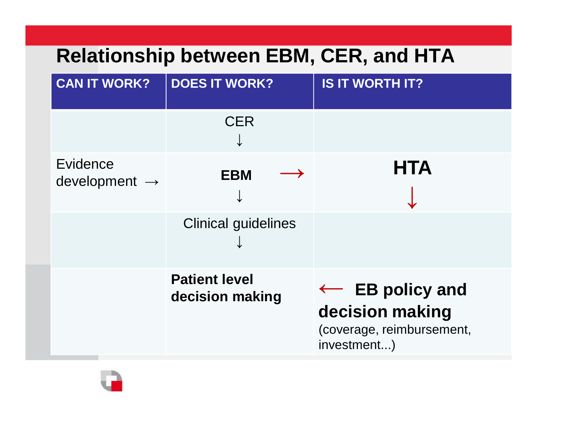# **Relationship between EBM, CER, and HTA**

| <b>CAN IT WORK?</b>                   | <b>DOES IT WORK?</b>                    | <b>IS IT WORTH IT?</b>                                                                    |
|---------------------------------------|-----------------------------------------|-------------------------------------------------------------------------------------------|
|                                       | <b>CER</b>                              |                                                                                           |
| Evidence<br>development $\rightarrow$ | <b>EBM</b>                              | <b>HTA</b>                                                                                |
|                                       | <b>Clinical guidelines</b>              |                                                                                           |
|                                       | <b>Patient level</b><br>decision making | $\leftarrow$ EB policy and<br>decision making<br>(coverage, reimbursement,<br>investment) |

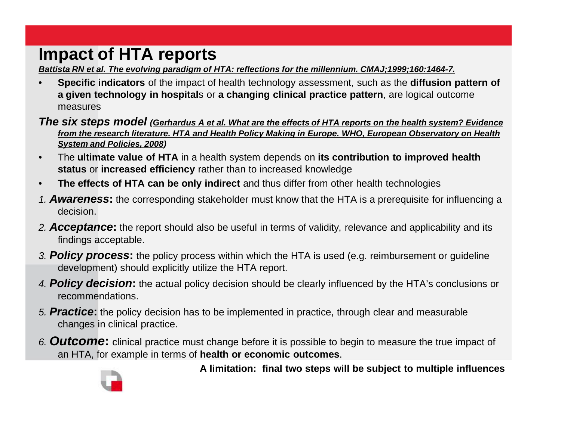# **Impact of HTA reports**

*Battista RN et al. The evolving paradigm of HTA: reflections for the millennium. CMAJ;1999;160:1464-7.*

• **Specific indicators** of the impact of health technology assessment, such as the **diffusion pattern of a given technology in hospital**s or **a changing clinical practice pattern**, are logical outcome measures

The six steps model (Gerhardus A et al. What are the effects of HTA reports on the health system? Evidence *from the research literature. HTA and Health Policy Making in Europe. WHO, European Observatory on Health System and Policies, 2008)*

- The **ultimate value of HTA** in a health system depends on **its contribution to improved health status** or **increased efficiency** rather than to increased knowledge
- **The effects of HTA can be only indirect** and thus differ from other health technologies
- *1. Awareness***:** the corresponding stakeholder must know that the HTA is a prerequisite for influencing a decision.
- *2. Acceptance***:** the report should also be useful in terms of validity, relevance and applicability and its findings acceptable.
- *3. Policy process***:** the policy process within which the HTA is used (e.g. reimbursement or guideline development) should explicitly utilize the HTA report.
- *4. Policy decision***:** the actual policy decision should be clearly influenced by the HTA's conclusions or recommendations.
- *5. Practice***:** the policy decision has to be implemented in practice, through clear and measurable changes in clinical practice.
- *6. Outcome***:** clinical practice must change before it is possible to begin to measure the true impact of an HTA, for example in terms of **health or economic outcomes**.



**A limitation: final two steps will be subject to multiple influences**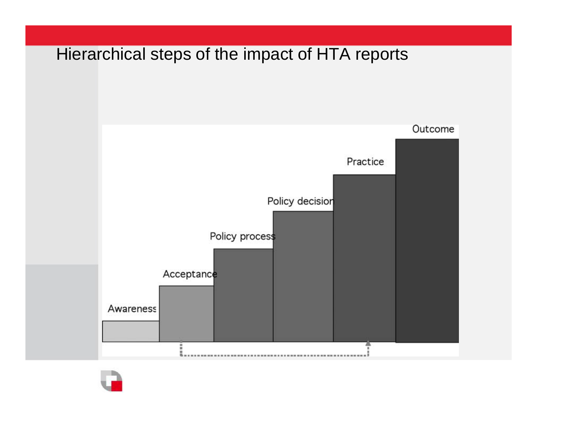# Hierarchical steps of the impact of HTA reportsOutcome Practice Policy decision Policy process Acceptance Awareness æ,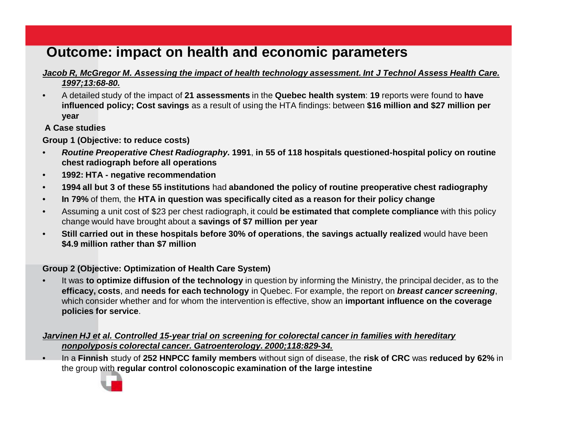### **Outcome: impact on health and economic parameters**

#### *Jacob R, McGregor M. Assessing the impact of health technology assessment. Int J Technol Assess Health Care. 1997;13:68-80.*

• A detailed study of the impact of **21 assessments** in the **Quebec health system**: **19** reports were found to **have influenced policy; Cost savings** as a result of using the HTA findings: between **\$16 million and \$27 million per year** 

#### **A Case studies**

**Group 1 (Objective: to reduce costs)**

- *Routine Preoperative Chest Radiography.* **1991**, **in 55 of 118 hospitals questioned-hospital policy on routine chest radiograph before all operations**
- **1992: HTA - negative recommendation**
- **1994 all but 3 of these 55 institutions** had **abandoned the policy of routine preoperative chest radiography**
- **In 79%** of them, the **HTA in question was specifically cited as a reason for their policy change**
- Assuming a unit cost of \$23 per chest radiograph, it could **be estimated that complete compliance** with this policy change would have brought about a **savings of \$7 million per year**
- **Still carried out in these hospitals before 30% of operations**, **the savings actually realized** would have been **\$4.9 million rather than \$7 million**

#### **Group 2 (Objective: Optimization of Health Care System)**

• It was **to optimize diffusion of the technology** in question by informing the Ministry, the principal decider, as to the **efficacy, costs**, and **needs for each technology** in Quebec. For example, the report on *breast cancer screening*, which consider whether and for whom the intervention is effective, show an **important influence on the coverage policies for service**.

#### *Jarvinen HJ et al. Controlled 15-year trial on screening for colorectal cancer in families with hereditary nonpolyposis colorectal cancer. Gatroenterology. 2000;118:829-34.*

• In a **Finnish** study of **252 HNPCC family members** without sign of disease, the **risk of CRC** was **reduced by 62%** in the group with **regular control colonoscopic examination of the large intestine**

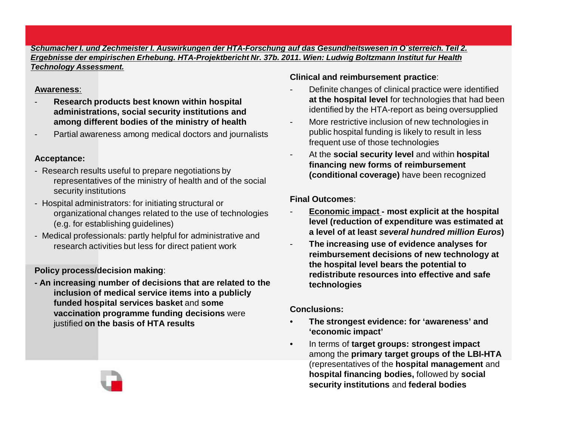#### *Schumacher I. und Zechmeister I. Auswirkungen der HTA-Forschung auf das Gesundheitswesen in O¨sterreich. Teil 2. Ergebnisse der empirischen Erhebung. HTA-Projektbericht Nr. 37b. 2011. Wien: Ludwig Boltzmann Institut fur Health Technology Assessment.*

#### **Awareness**:

- **Research products best known within hospital administrations, social security institutions and among different bodies of the ministry of health**
- Partial awareness among medical doctors and journalists

#### **Acceptance:**

- Research results useful to prepare negotiations by representatives of the ministry of health and of the social security institutions
- Hospital administrators: for initiating structural or organizational changes related to the use of technologies (e.g. for establishing guidelines)
- Medical professionals: partly helpful for administrative and research activities but less for direct patient work

#### **Policy process/decision making**:

**- An increasing number of decisions that are related to the inclusion of medical service items into a publicly funded hospital services basket** and **some vaccination programme funding decisions** were justified **on the basis of HTA results**

#### **Clinical and reimbursement practice**:

- Definite changes of clinical practice were identified **at the hospital level** for technologies that had been identified by the HTA-report as being oversupplied
- More restrictive inclusion of new technologies in public hospital funding is likely to result in less frequent use of those technologies
- At the **social security level** and within **hospital financing new forms of reimbursement (conditional coverage)** have been recognized

#### **Final Outcomes**:

- **Economic impact - most explicit at the hospital level (reduction of expenditure was estimated at a level of at least** *several hundred million Euros***)**
- **The increasing use of evidence analyses for reimbursement decisions of new technology at the hospital level bears the potential to redistribute resources into effective and safe technologies**

#### **Conclusions:**

- **The strongest evidence: for 'awareness' and 'economic impact'**
- In terms of **target groups: strongest impact**  among the **primary target groups of the LBI-HTA** (representatives of the **hospital management** and **hospital financing bodies,** followed by **social security institutions** and **federal bodies**

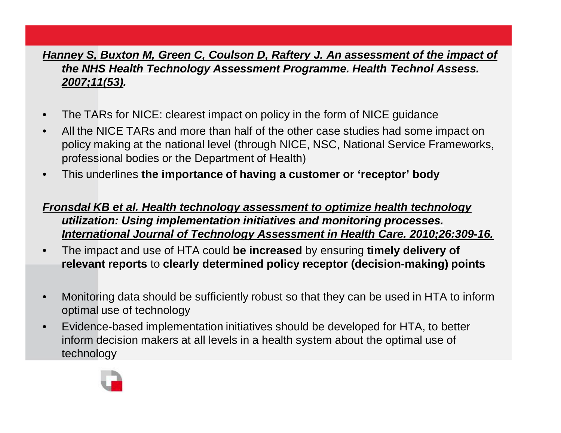#### *Hanney S, Buxton M, Green C, Coulson D, Raftery J. An assessment of the impact of the NHS Health Technology Assessment Programme. Health Technol Assess. 2007;11(53).*

- The TARs for NICE: clearest impact on policy in the form of NICE guidance
- All the NICE TARs and more than half of the other case studies had some impact on policy making at the national level (through NICE, NSC, National Service Frameworks, professional bodies or the Department of Health)
- This underlines **the importance of having a customer or 'receptor' body**

#### *Fronsdal KB et al. Health technology assessment to optimize health technology utilization: Using implementation initiatives and monitoring processes. International Journal of Technology Assessment in Health Care. 2010;26:309-16.*

- The impact and use of HTA could **be increased** by ensuring **timely delivery of relevant reports** to **clearly determined policy receptor (decision-making) points**
- Monitoring data should be sufficiently robust so that they can be used in HTA to inform optimal use of technology
- Evidence-based implementation initiatives should be developed for HTA, to better inform decision makers at all levels in a health system about the optimal use of technology

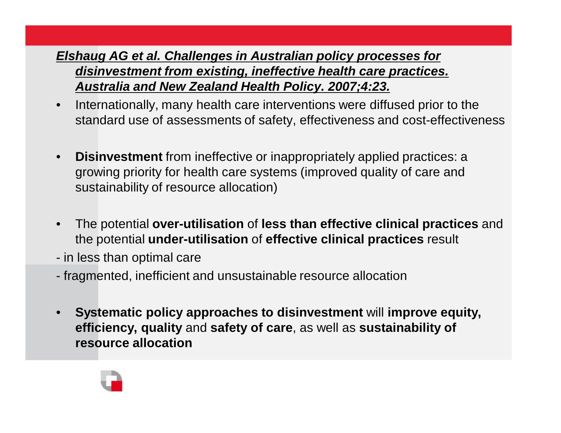### *Elshaug AG et al. Challenges in Australian policy processes for disinvestment from existing, ineffective health care practices. Australia and New Zealand Health Policy. 2007;4:23.*

- Internationally, many health care interventions were diffused prior to the standard use of assessments of safety, effectiveness and cost-effectiveness
- **Disinvestment** from ineffective or inappropriately applied practices: a growing priority for health care systems (improved quality of care and sustainability of resource allocation)
- The potential **over-utilisation** of **less than effective clinical practices** and the potential **under-utilisation** of **effective clinical practices** result
- in less than optimal care
- fragmented, inefficient and unsustainable resource allocation
- **Systematic policy approaches to disinvestment** will **improve equity, efficiency, quality** and **safety of care**, as well as **sustainability of resource allocation**

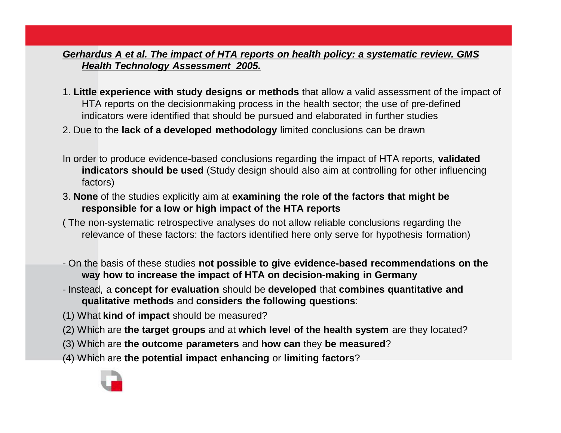#### *Gerhardus A et al. The impact of HTA reports on health policy: a systematic review. GMS Health Technology Assessment 2005.*

- 1. **Little experience with study designs or methods** that allow a valid assessment of the impact of HTA reports on the decisionmaking process in the health sector; the use of pre-defined indicators were identified that should be pursued and elaborated in further studies
- 2. Due to the **lack of a developed methodology** limited conclusions can be drawn
- In order to produce evidence-based conclusions regarding the impact of HTA reports, **validated indicators should be used** (Study design should also aim at controlling for other influencing factors)
- 3. **None** of the studies explicitly aim at **examining the role of the factors that might be responsible for a low or high impact of the HTA reports**
- ( The non-systematic retrospective analyses do not allow reliable conclusions regarding the relevance of these factors: the factors identified here only serve for hypothesis formation)
- On the basis of these studies **not possible to give evidence-based recommendations on the way how to increase the impact of HTA on decision-making in Germany**
- Instead, a **concept for evaluation** should be **developed** that **combines quantitative and qualitative methods** and **considers the following questions**:
- (1) What **kind of impact** should be measured?
- (2) Which are **the target groups** and at **which level of the health system** are they located?
- (3) Which are **the outcome parameters** and **how can** they **be measured**?
- (4) Which are **the potential impact enhancing** or **limiting factors**?

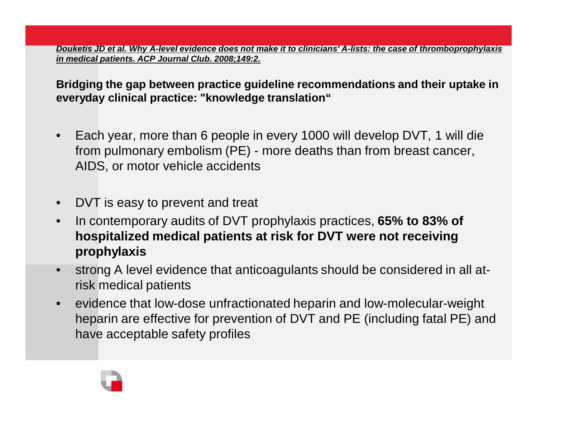*Douketis JD et al. Why A-level evidence does not make it to clinicians' A-lists: the case of thromboprophylaxis in medical patients. ACP Journal Club. 2008;149:2.*

**Bridging the gap between practice guideline recommendations and their uptake in everyday clinical practice: "knowledge translation"**

- Each year, more than 6 people in every 1000 will develop DVT, 1 will die from pulmonary embolism (PE) - more deaths than from breast cancer, AIDS, or motor vehicle accidents
- DVT is easy to prevent and treat
- In contemporary audits of DVT prophylaxis practices, **65% to 83% of hospitalized medical patients at risk for DVT were not receiving prophylaxis**
- strong A level evidence that anticoagulants should be considered in all atrisk medical patients
- evidence that low-dose unfractionated heparin and low-molecular-weight heparin are effective for prevention of DVT and PE (including fatal PE) and have acceptable safety profiles

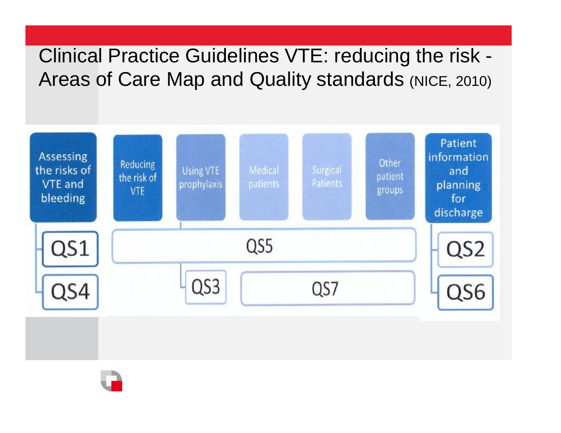# Clinical Practice Guidelines VTE: reducing the risk - Areas of Care Map and Quality standards (NICE, 2010)



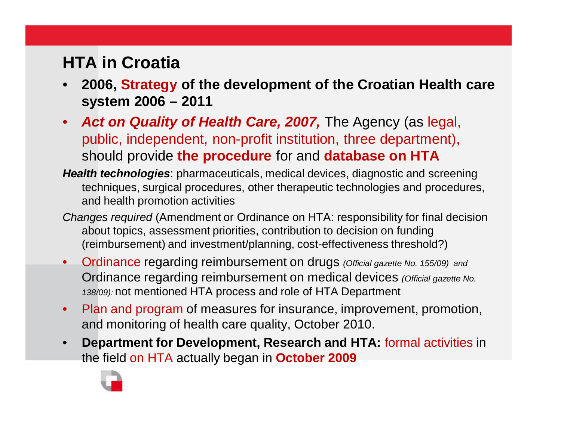## **HTA in Croatia**

- **2006, Strategy of the development of the Croatian Health care system 2006 – 2011**
- *Act on Quality of Health Care, 2007,* The Agency (as legal, public, independent, non-profit institution, three department), should provide **the procedure** for and **database on HTA**
- *Health technologies*: pharmaceuticals, medical devices, diagnostic and screening techniques, surgical procedures, other therapeutic technologies and procedures, and health promotion activities
- *Changes required* (Amendment or Ordinance on HTA: responsibility for final decision about topics, assessment priorities, contribution to decision on funding (reimbursement) and investment/planning, cost-effectiveness threshold?)
- Ordinance regarding reimbursement on drugs *(Official gazette No. 155/09) and*  Ordinance regarding reimbursement on medical devices *(Official gazette No. 138/09):* not mentioned HTA process and role of HTA Department
- Plan and program of measures for insurance, improvement, promotion, and monitoring of health care quality, October 2010.
- **Department for Development, Research and HTA:** formal activities in the field on HTA actually began in **October 2009**

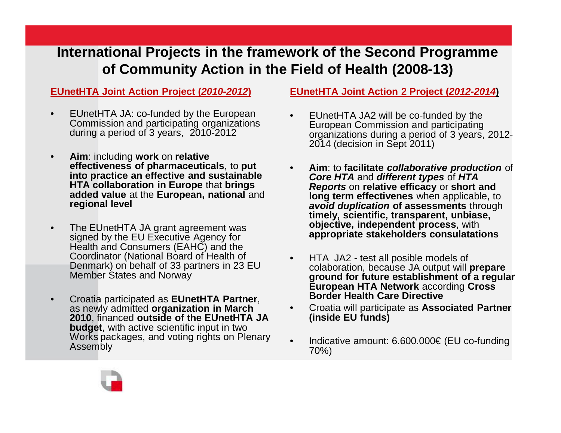## **International Projects in the framework of the Second Programme of Community Action in the Field of Health (2008-13)**

#### **EUnetHTA Joint Action Project (***2010-2012***)**

- EUnetHTA JA: co-funded by the European Commission and participating organizations during a period of 3 years, 2010-2012
- **Aim**: including **work** on **relative effectiveness of pharmaceuticals**, to **put into practice an effective and sustainable HTA collaboration in Europe** that **brings added value** at the **European, national** and **regional level**
- The EUnetHTA JA grant agreement was signed by the EU Executive Agency for Health and Consumers (EAHC) and the Coordinator (National Board of Health of Denmark) on behalf of 33 partners in 23 EU Member States and Norway
- Croatia participated as **EUnetHTA Partner**, as newly admitted **organization in March 2010**, financed **outside of the EUnetHTA JA budget**, with active scientific input in two Works packages, and voting rights on Plenary Assembly

#### **EUnetHTA Joint Action 2 Project (***2012-2014***)**

- EUnetHTA JA2 will be co-funded by the European Commission and participating organizations during a period of 3 years, 2012- 2014 (decision in Sept 2011)
- **Aim**: to **facilitate** *collaborative production* of *Core HTA* and *different types* of *HTA Reports* on **relative efficacy** or **short and long term effectivenes** when applicable, to *avoid duplication* **of assessments** through **timely, scientific, transparent, unbiase, objective, independent process**, with **appropriate stakeholders consulatations**
- HTA JA2 test all posible models of colaboration, because JA output will **prepare ground for future establishment of a regular European HTA Network** according **Cross Border Health Care Directive**
- Croatia will participate as **Associated Partner (inside EU funds)**
- Indicative amount: 6.600.000€ (EU co-funding 70%)

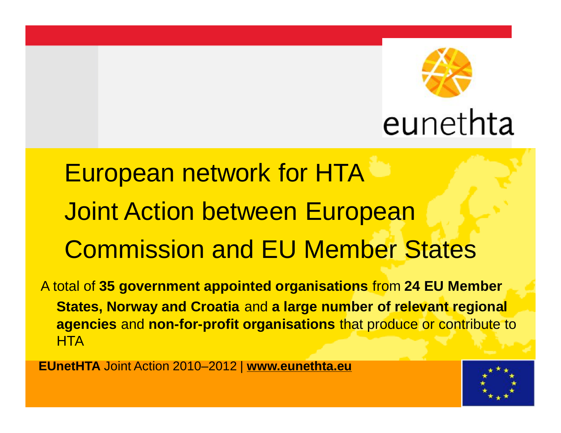

# European network for HTA Joint Action between European Commission and EU Member States

A total of **35 government appointed organisations** from **24 EU Member States, Norway and Croatia** and **a large number of relevant regional agencies** and **non-for-profit organisations** that produce or contribute to **HTA** 

**EUnetHTA** Joint Action 2010–2012 | **[www.eunethta.eu](http://www.eunethta.eu)**

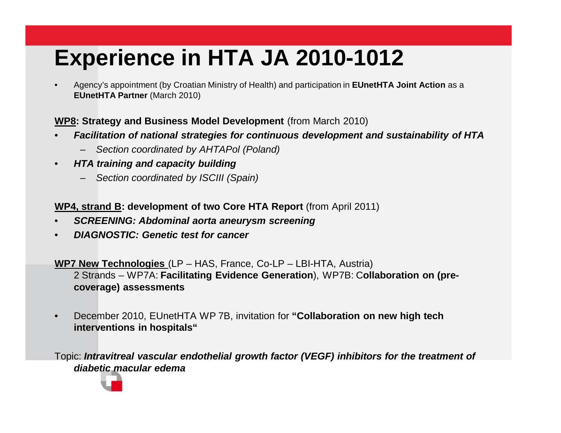# **Experience in HTA JA 2010-1012**

• Agency's appointment (by Croatian Ministry of Health) and participation in **EUnetHTA Joint Action** as a **EUnetHTA Partner** (March 2010)

#### **WP8: Strategy and Business Model Development** (from March 2010)

- *Facilitation of national strategies for continuous development and sustainability of HTA*
	- *Section coordinated by AHTAPol (Poland)*
- *HTA training and capacity building*
	- *Section coordinated by ISCIII (Spain)*

**WP4, strand B: development of two Core HTA Report** (from April 2011)

- *SCREENING: Abdominal aorta aneurysm screening*
- *DIAGNOSTIC: Genetic test for cancer*

**WP7 New Technologies** (LP – HAS, France, Co-LP – LBI-HTA, Austria)

2 Strands – WP7A: **Facilitating Evidence Generation**), WP7B: C**ollaboration on (precoverage) assessments**

• December 2010, EUnetHTA WP 7B, invitation for **"Collaboration on new high tech interventions in hospitals"** 

Topic: *Intravitreal vascular endothelial growth factor (VEGF) inhibitors for the treatment of diabetic macular edema*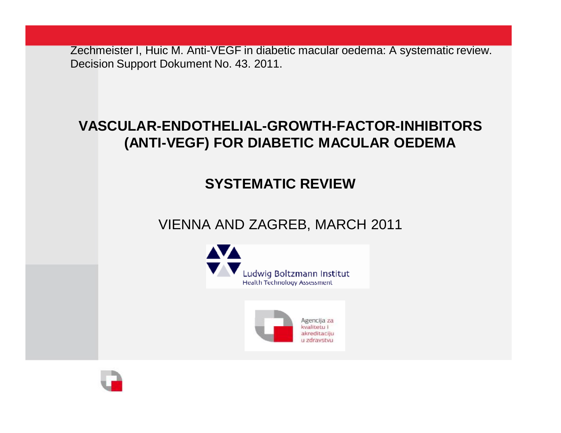Zechmeister I, Huic M. Anti-VEGF in diabetic macular oedema: A systematic review. Decision Support Dokument No. 43. 2011.

## **VASCULAR-ENDOTHELIAL-GROWTH-FACTOR-INHIBITORS (ANTI-VEGF) FOR DIABETIC MACULAR OEDEMA**

## **SYSTEMATIC REVIEW**

## VIENNA AND ZAGREB, MARCH 2011



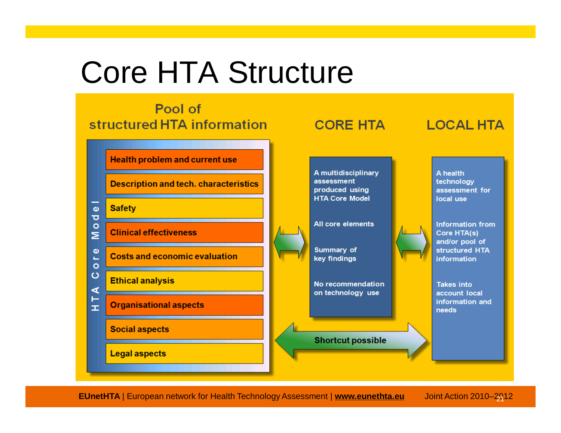# Core HTA Structure



**EUnetHTA** | European network for Health Technology Assessment | [www.eunethta.eu](http://www.eunethta.eu) Joint Action 2010-2912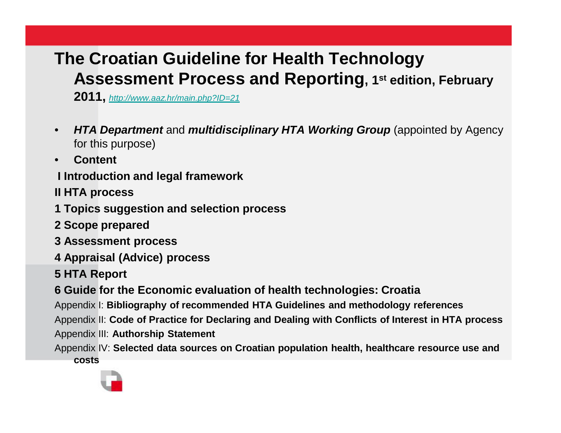## **The Croatian Guideline for Health Technology Assessment Process and Reporting, 1st edition, February**

**2011,** *<http://www.aaz.hr/main.php?ID=21>*

- *HTA Department* and *multidisciplinary HTA Working Group* (appointed by Agency for this purpose)
- **Content**

**I Introduction and legal framework**

**II HTA process**

**1 Topics suggestion and selection process**

- **2 Scope prepared**
- **3 Assessment process**
- **4 Appraisal (Advice) process**

**5 HTA Report**

**6 Guide for the Economic evaluation of health technologies: Croatia**

Appendix I: **Bibliography of recommended HTA Guidelines and methodology references**

Appendix II: **Code of Practice for Declaring and Dealing with Conflicts of Interest in HTA process** Appendix III: **Authorship Statement**

Appendix IV: **Selected data sources on Croatian population health, healthcare resource use and costs**

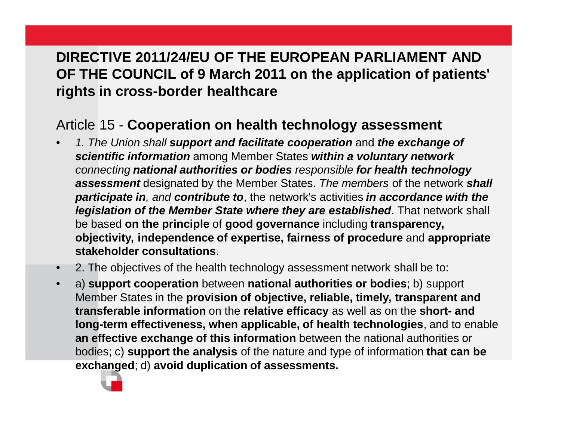## **DIRECTIVE 2011/24/EU OF THE EUROPEAN PARLIAMENT AND OF THE COUNCIL of 9 March 2011 on the application of patients' rights in cross-border healthcare**

### Article 15 - **Cooperation on health technology assessment**

- *1. The Union shall support and facilitate cooperation* and *the exchange of scientific information* among Member States *within a voluntary network connecting national authorities or bodies responsible for health technology assessment* designated by the Member States. *The members* of the network *shall participate in, and contribute to*, the network's activities *in accordance with the legislation of the Member State where they are established*. That network shall be based **on the principle** of **good governance** including **transparency, objectivity, independence of expertise, fairness of procedure** and **appropriate stakeholder consultations**.
- 2. The objectives of the health technology assessment network shall be to:
- a) **support cooperation** between **national authorities or bodies**; b) support Member States in the **provision of objective, reliable, timely, transparent and transferable information** on the **relative efficacy** as well as on the **short- and long-term effectiveness, when applicable, of health technologies**, and to enable **an effective exchange of this information** between the national authorities or bodies; c) **support the analysis** of the nature and type of information **that can be exchanged**; d) **avoid duplication of assessments.**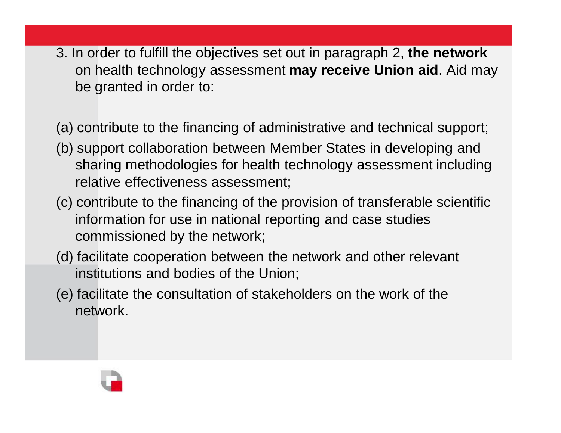3. In order to fulfill the objectives set out in paragraph 2, **the network**  on health technology assessment **may receive Union aid**. Aid may be granted in order to:

(a) contribute to the financing of administrative and technical support;

- (b) support collaboration between Member States in developing and sharing methodologies for health technology assessment including relative effectiveness assessment;
- (c) contribute to the financing of the provision of transferable scientific information for use in national reporting and case studies commissioned by the network;
- (d) facilitate cooperation between the network and other relevant institutions and bodies of the Union;
- (e) facilitate the consultation of stakeholders on the work of the network.

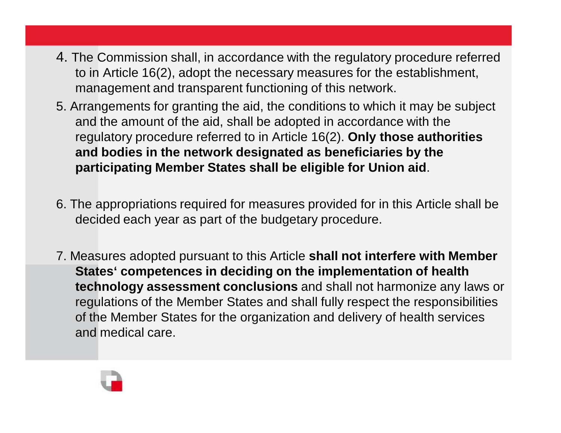- 4. The Commission shall, in accordance with the regulatory procedure referred to in Article 16(2), adopt the necessary measures for the establishment, management and transparent functioning of this network.
- 5. Arrangements for granting the aid, the conditions to which it may be subject and the amount of the aid, shall be adopted in accordance with the regulatory procedure referred to in Article 16(2). **Only those authorities and bodies in the network designated as beneficiaries by the participating Member States shall be eligible for Union aid**.
- 6. The appropriations required for measures provided for in this Article shall be decided each year as part of the budgetary procedure.
- 7. Measures adopted pursuant to this Article **shall not interfere with Member States' competences in deciding on the implementation of health technology assessment conclusions** and shall not harmonize any laws or regulations of the Member States and shall fully respect the responsibilities of the Member States for the organization and delivery of health services and medical care.